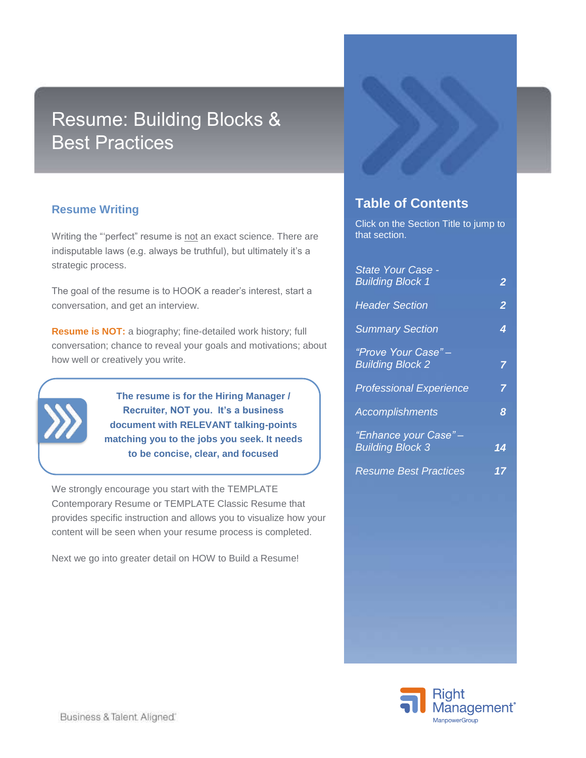# Resume: Building Blocks & Best Practices

### **Resume Writing**

Writing the "'perfect" resume is not an exact science. There are indisputable laws (e.g. always be truthful), but ultimately it's a strategic process.

The goal of the resume is to HOOK a reader's interest, start a conversation, and get an interview.

**Resume is NOT:** a biography; fine-detailed work history; full conversation; chance to reveal your goals and motivations; about how well or creatively you write.



**The resume is for the Hiring Manager / Recruiter, NOT you. It's a business document with RELEVANT talking-points matching you to the jobs you seek. It needs to be concise, clear, and focused**

We strongly encourage you start with the TEMPLATE Contemporary Resume or TEMPLATE Classic Resume that provides specific instruction and allows you to visualize how your content will be seen when your resume process is completed.

Next we go into greater detail on HOW to Build a Resume!



## **Table of Contents**

Click on the Section Title to jump to that section.

| State Your Case -<br><b>Building Block 1</b>     | $\overline{2}$  |
|--------------------------------------------------|-----------------|
| <b>Header Section</b>                            | $\overline{2}$  |
| <b>Summary Section</b>                           | 4               |
| "Prove Your Case"-<br><b>Building Block 2</b>    | 7               |
| <b>Professional Experience</b>                   | 7               |
| <b>Accomplishments</b>                           | 8               |
| "Enhance your Case" -<br><b>Building Block 3</b> | $1\overline{4}$ |
| <b>Resume Best Practices</b>                     | 17              |

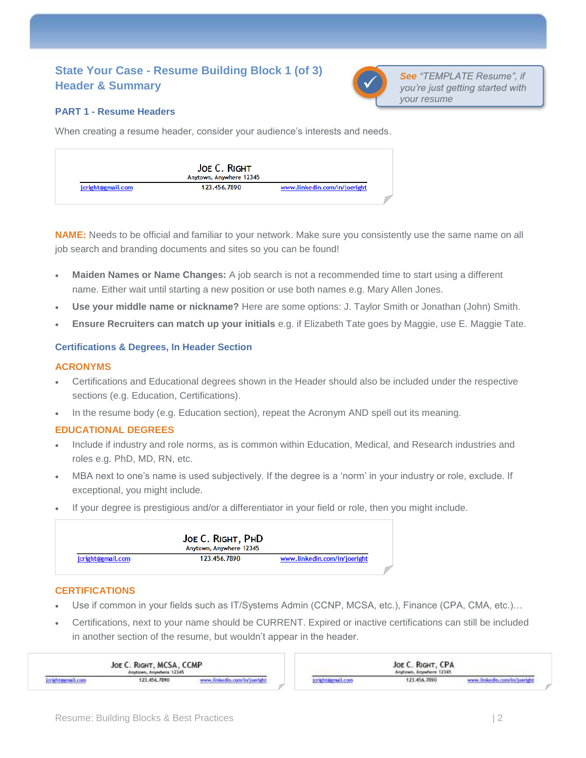### <span id="page-1-0"></span>**State Your Case - Resume Building Block 1 (of 3) Header & Summary**



*See "TEMPLATE Resume", if you're just getting started with your resume*

### **PART 1 - Resume Headers**

When creating a resume header, consider your audience's interests and needs.

|                   | JOE C. RIGHT<br>Anytown, Anywhere 12345 |                              |
|-------------------|-----------------------------------------|------------------------------|
| jcright@gmail.com | 123.456.7890                            | www.linkedin.com/in/joeright |

**NAME:** Needs to be official and familiar to your network. Make sure you consistently use the same name on all job search and branding documents and sites so you can be found!

- **Maiden Names or Name Changes:** A job search is not a recommended time to start using a different name. Either wait until starting a new position or use both names e.g. Mary Allen Jones.
- **Use your middle name or nickname?** Here are some options: J. Taylor Smith or Jonathan (John) Smith.
- **Ensure Recruiters can match up your initials** e.g. if Elizabeth Tate goes by Maggie, use E. Maggie Tate.

### <span id="page-1-1"></span>**Certifications & Degrees, In Header Section**

### **ACRONYMS**

- Certifications and Educational degrees shown in the Header should also be included under the respective sections (e.g. Education, Certifications).
- In the resume body (e.g. Education section), repeat the Acronym AND spell out its meaning.

### **EDUCATIONAL DEGREES**

- Include if industry and role norms, as is common within Education, Medical, and Research industries and roles e.g. PhD, MD, RN, etc.
- MBA next to one's name is used subjectively. If the degree is a 'norm' in your industry or role, exclude. If exceptional, you might include.
- If your degree is prestigious and/or a differentiator in your field or role, then you might include.

|                   | JOE C. RIGHT, PHD<br>Anytown, Anywhere 12345 |                              |
|-------------------|----------------------------------------------|------------------------------|
| jcright@gmail.com | 123.456.7890                                 | www.linkedin.com/in/joeright |

### **CERTIFICATIONS**

- Use if common in your fields such as IT/Systems Admin (CCNP, MCSA, etc.), Finance (CPA, CMA, etc.)...
- Certifications, next to your name should be CURRENT. Expired or inactive certifications can still be included in another section of the resume, but wouldn't appear in the header.

| JOE C. RIGHT, MCSA, CCMP<br>Anytown, Anywhere 12345 |                                          |                                                                                                                                                  |                                                                                            | JOE C. RIGHT, CPA<br>Anytown, Anywhere 12345 |                                                                           |  |
|-----------------------------------------------------|------------------------------------------|--------------------------------------------------------------------------------------------------------------------------------------------------|--------------------------------------------------------------------------------------------|----------------------------------------------|---------------------------------------------------------------------------|--|
| and the property of the property and                | 123.456.7890<br>- 2002/09/09 09:00 PM PM | ekedin.com/in/joeright<br><u> Andrew March (1989), a compositor de la compositor de la compositor de la compositor de la compositor de la co</u> | the property of the control of the<br>the property of the way and the property of the con- | 173.456.7890                                 | www.linkedin.com/in/joerigh<br>and a set of the state of a trade and out- |  |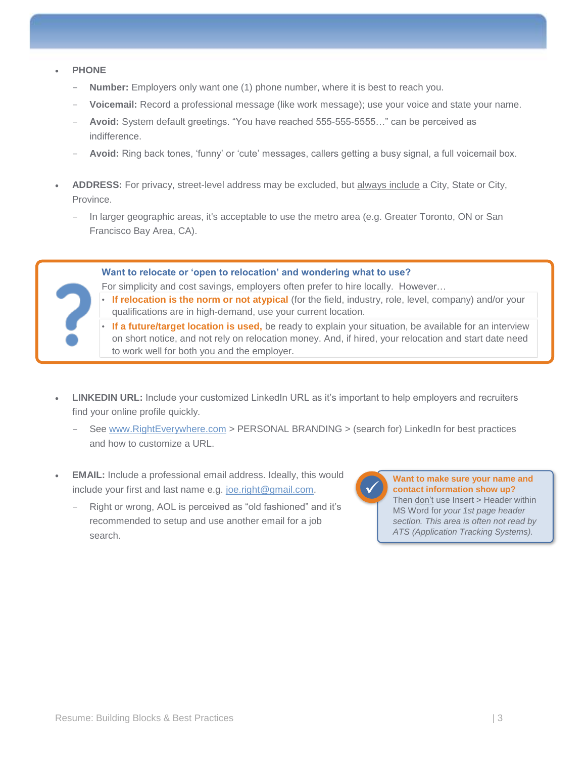- **PHONE**
	- **Number:** Employers only want one (1) phone number, where it is best to reach you.
	- Voicemail: Record a professional message (like work message); use your voice and state your name.
	- Avoid: System default greetings. "You have reached 555-555-5555..." can be perceived as indifference.
	- Avoid: Ring back tones, 'funny' or 'cute' messages, callers getting a busy signal, a full voicemail box.
- **ADDRESS:** For privacy, street-level address may be excluded, but always include a City, State or City, Province.
	- In larger geographic areas, it's acceptable to use the metro area (e.g. Greater Toronto, ON or San Francisco Bay Area, CA).

**Want to relocate or 'open to relocation' and wondering what to use?**

For simplicity and cost savings, employers often prefer to hire locally. However…

- If relocation is the norm or not atypical (for the field, industry, role, level, company) and/or your qualifications are in high-demand, use your current location.
- **If a future/target location is used,** be ready to explain your situation, be available for an interview on short notice, and not rely on relocation money. And, if hired, your relocation and start date need to work well for both you and the employer.
- **LINKEDIN URL:** Include your customized LinkedIn URL as it's important to help employers and recruiters find your online profile quickly.
	- See [www.RightEverywhere.com](http://www.righteverywhere.com/) > PERSONAL BRANDING > (search for) LinkedIn for best practices and how to customize a URL.
- **EMAIL:** Include a professional email address. Ideally, this would include your first and last name e.g. [joe.right@gmail.com.](mailto:joe.right@gmail.com)
	- Right or wrong, AOL is perceived as "old fashioned" and it's recommended to setup and use another email for a job search.

**Want to make sure your name and contact information show up?** Then don't use Insert > Header within MS Word for *your 1st page header section. This area is often not read by ATS (Application Tracking Systems).* ✓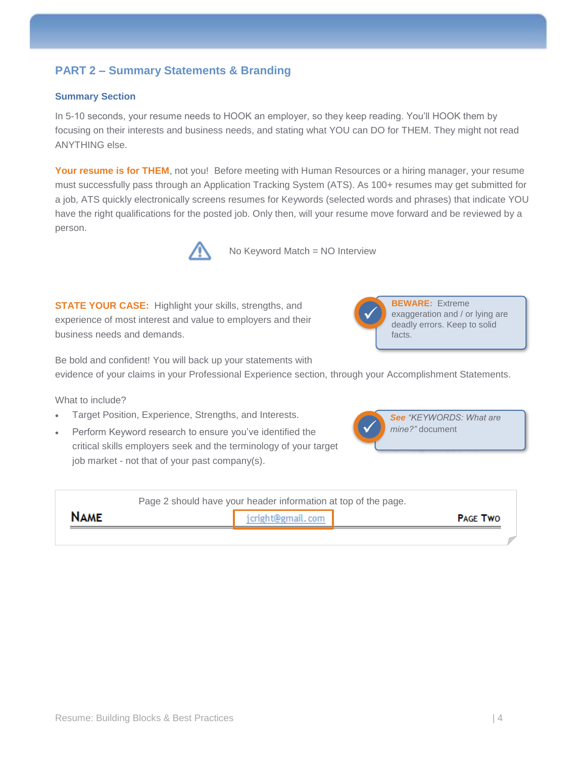### **PART 2 – Summary Statements & Branding**

### <span id="page-3-0"></span>**Summary Section**

In 5-10 seconds, your resume needs to HOOK an employer, so they keep reading. You'll HOOK them by focusing on their interests and business needs, and stating what YOU can DO for THEM. They might not read ANYTHING else.

**Your resume is for THEM**, not you! Before meeting with Human Resources or a hiring manager, your resume must successfully pass through an Application Tracking System (ATS). As 100+ resumes may get submitted for a job, ATS quickly electronically screens resumes for Keywords (selected words and phrases) that indicate YOU have the right qualifications for the posted job. Only then, will your resume move forward and be reviewed by a person.



No Keyword Match = NO Interview

**STATE YOUR CASE:** Highlight your skills, strengths, and experience of most interest and value to employers and their business needs and demands.



Be bold and confident! You will back up your statements with

evidence of your claims in your Professional Experience section, through your Accomplishment Statements.

What to include?

- Target Position, Experience, Strengths, and Interests.
- Perform Keyword research to ensure you've identified the critical skills employers seek and the terminology of your target job market - not that of your past company(s).



| Page 2 should have your header information at top of the page. |                                      |  |  |  |  |  |  |
|----------------------------------------------------------------|--------------------------------------|--|--|--|--|--|--|
| <b>NAME</b>                                                    | jcright@gmail.com<br><b>PAGE TWO</b> |  |  |  |  |  |  |
|                                                                |                                      |  |  |  |  |  |  |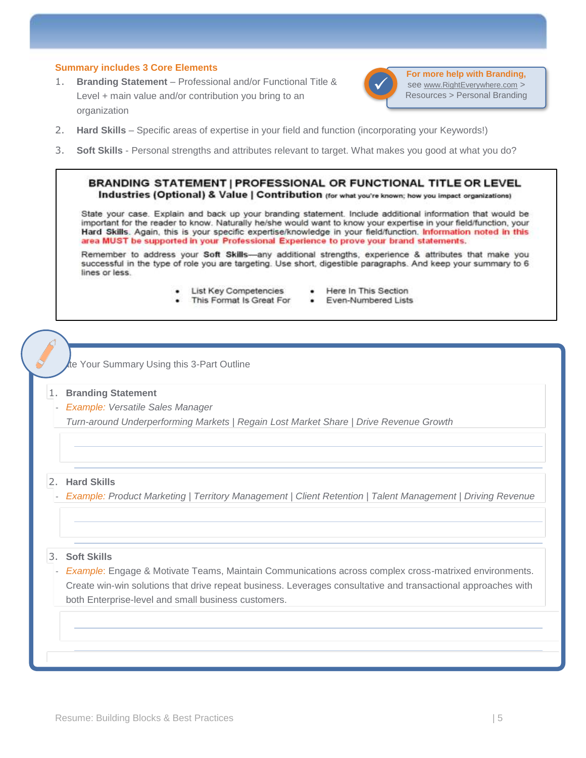#### **Summary includes 3 Core Elements**

1. **Branding Statement** – Professional and/or Functional Title & Level + main value and/or contribution you bring to an organization



**For more help with Branding,**  see www.RightEverywhere.com > Resources > Personal Branding

- 2. **Hard Skills** Specific areas of expertise in your field and function (incorporating your Keywords!)
- 3. **Soft Skills** Personal strengths and attributes relevant to target. What makes you good at what you do?

BRANDING STATEMENT | PROFESSIONAL OR FUNCTIONAL TITLE OR LEVEL Industries (Optional) & Value | Contribution (for what you're known; how you impact organizations)

State your case. Explain and back up your branding statement. Include additional information that would be important for the reader to know. Naturally he/she would want to know your expertise in your field/function, your Hard Skills. Again, this is your specific expertise/knowledge in your field/function. Information noted in this area MUST be supported in your Professional Experience to prove your brand statements.

Remember to address your Soft Skills-any additional strengths, experience & attributes that make you successful in the type of role you are targeting. Use short, digestible paragraphs. And keep your summary to 6 lines or less.

- **List Key Competencies** ٠
- Here In This Section
- This Format Is Great For
- Even-Numbered Lists

te Your Summary Using this 3-Part Outline

#### 1. **Branding Statement**

- *Example: Versatile Sales Manager* 

*Turn-around Underperforming Markets | Regain Lost Market Share | Drive Revenue Growth*

#### 2. **Hard Skills**

- *Example: Product Marketing | Territory Management | Client Retention | Talent Management | Driving Revenue*

#### 3. **Soft Skills**

- *Example*: Engage & Motivate Teams, Maintain Communications across complex cross-matrixed environments. Create win-win solutions that drive repeat business. Leverages consultative and transactional approaches with both Enterprise-level and small business customers.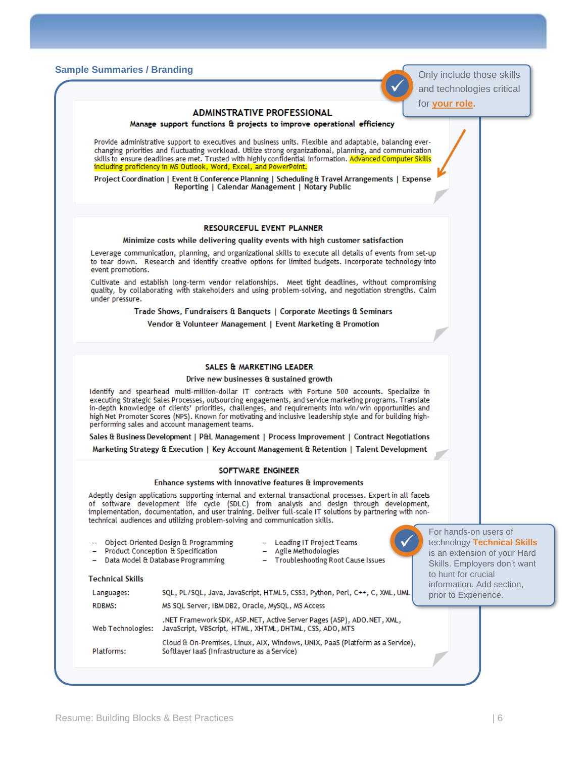### **Sample Summaries / Branding** Only include the skills of second that the skills of second that the skills of skills of skills of skills of skills of skills of skills of skills of skills of skills of skills of skills of ski

|                         |                                                                                                                                                                                                                                                                                                                                                                                                                                                                                        | for <b>your role.</b>                                                                                                |
|-------------------------|----------------------------------------------------------------------------------------------------------------------------------------------------------------------------------------------------------------------------------------------------------------------------------------------------------------------------------------------------------------------------------------------------------------------------------------------------------------------------------------|----------------------------------------------------------------------------------------------------------------------|
|                         | <b>ADMINSTRATIVE PROFESSIONAL</b><br>Manage support functions & projects to improve operational efficiency                                                                                                                                                                                                                                                                                                                                                                             |                                                                                                                      |
|                         | Provide administrative support to executives and business units. Flexible and adaptable, balancing ever-<br>changing priorities and fluctuating workload. Utilize strong organizational, planning, and communication<br>skills to ensure deadlines are met. Trusted with highly confidential information. Advanced Computer Skills<br>including proficiency in MS Outlook, Word, Excel, and PowerPoint.                                                                                |                                                                                                                      |
|                         | Project Coordination   Event & Conference Planning   Scheduling & Travel Arrangements   Expense<br>Reporting   Calendar Management   Notary Public                                                                                                                                                                                                                                                                                                                                     |                                                                                                                      |
|                         | <b>RESOURCEFUL EVENT PLANNER</b>                                                                                                                                                                                                                                                                                                                                                                                                                                                       |                                                                                                                      |
|                         | Minimize costs while delivering quality events with high customer satisfaction                                                                                                                                                                                                                                                                                                                                                                                                         |                                                                                                                      |
| event promotions.       | Leverage communication, planning, and organizational skills to execute all details of events from set-up<br>to tear down. Research and identify creative options for limited budgets. Incorporate technology into                                                                                                                                                                                                                                                                      |                                                                                                                      |
| under pressure.         | Cultivate and establish long-term vendor relationships. Meet tight deadlines, without compromising<br>quality, by collaborating with stakeholders and using problem-solving, and negotiation strengths. Calm                                                                                                                                                                                                                                                                           |                                                                                                                      |
|                         | Trade Shows, Fundraisers & Banquets   Corporate Meetings & Seminars                                                                                                                                                                                                                                                                                                                                                                                                                    |                                                                                                                      |
|                         | Vendor & Volunteer Management   Event Marketing & Promotion                                                                                                                                                                                                                                                                                                                                                                                                                            |                                                                                                                      |
|                         | SALES & MARKETING LEADER                                                                                                                                                                                                                                                                                                                                                                                                                                                               |                                                                                                                      |
|                         | Drive new businesses & sustained growth                                                                                                                                                                                                                                                                                                                                                                                                                                                |                                                                                                                      |
|                         | Identify and spearhead multi-million-dollar IT contracts with Fortune 500 accounts. Specialize in<br>executing Strategic Sales Processes, outsourcing engagements, and service marketing programs. Translate<br>in-depth knowledge of clients' priorities, challenges, and requirements into win/win opportunities and<br>high Net Promoter Scores (NPS). Known for motivating and inclusive leadership style and for building high-<br>performing sales and account management teams. |                                                                                                                      |
|                         | Sales & Business Development   P&L Management   Process Improvement   Contract Negotiations                                                                                                                                                                                                                                                                                                                                                                                            |                                                                                                                      |
|                         | Marketing Strategy & Execution   Key Account Management & Retention   Talent Development                                                                                                                                                                                                                                                                                                                                                                                               |                                                                                                                      |
|                         | SOFTWARE ENGINEER                                                                                                                                                                                                                                                                                                                                                                                                                                                                      |                                                                                                                      |
|                         | Enhance systems with innovative features & improvements                                                                                                                                                                                                                                                                                                                                                                                                                                |                                                                                                                      |
|                         | Adeptly design applications supporting internal and external transactional processes. Expert in all facets<br>of software development life cycle (SDLC) from analysis and design through development,<br>implementation, documentation, and user training. Deliver full-scale IT solutions by partnering with non-<br>technical audiences and utilizing problem-solving and communication skills.                                                                                      |                                                                                                                      |
|                         | Object-Oriented Design & Programming<br>Leading IT Project Teams<br>Product Conception & Specification<br>Agile Methodologies<br>$\overline{\phantom{0}}$<br>Data Model & Database Programming<br><b>Troubleshooting Root Cause Issues</b>                                                                                                                                                                                                                                             | For hands-on users of<br>technology Technical Skills<br>is an extension of your Hard<br>Skills. Employers don't want |
| <b>Technical Skills</b> |                                                                                                                                                                                                                                                                                                                                                                                                                                                                                        | to hunt for crucial<br>information. Add section,                                                                     |
| Languages:              | SQL, PL/SQL, Java, JavaScript, HTML5, CSS3, Python, Perl, C++, C, XML, UML                                                                                                                                                                                                                                                                                                                                                                                                             | prior to Experience.                                                                                                 |
| <b>RDBMS:</b>           | MS SQL Server, IBM DB2, Oracle, MySQL, MS Access                                                                                                                                                                                                                                                                                                                                                                                                                                       |                                                                                                                      |
| Web Technologies:       | .NET Framework SDK, ASP.NET, Active Server Pages (ASP), ADO.NET, XML,<br>JavaScript, VBScript, HTML, XHTML, DHTML, CSS, ADO, MTS                                                                                                                                                                                                                                                                                                                                                       |                                                                                                                      |
| Platforms:              | Cloud & On-Premises, Linux, AIX, Windows, UNIX, PaaS (Platform as a Service),<br>Softlayer IaaS (Infrastructure as a Service)                                                                                                                                                                                                                                                                                                                                                          |                                                                                                                      |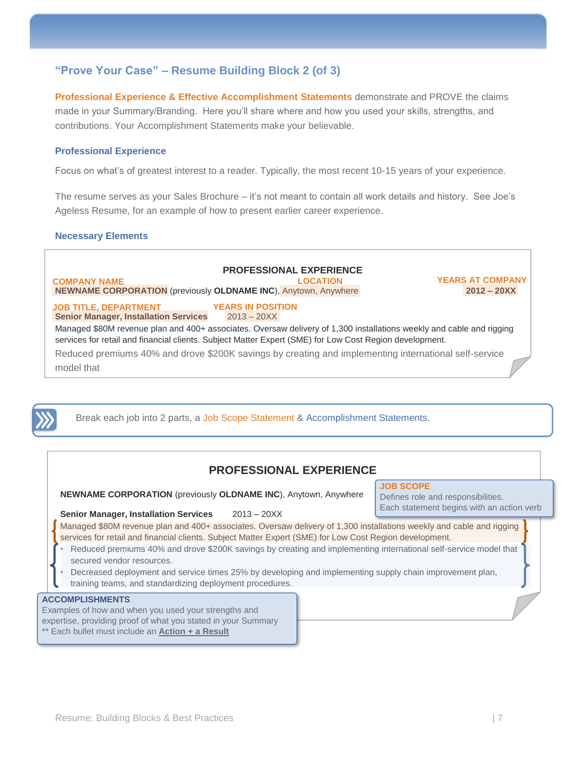The resume serves as your Sales Brochure – it's not meant to contain all work details and history. See Joe's Ageless Resume, for an example of how to present earlier career experience.

Focus on what's of greatest interest to a reader. Typically, the most recent 10-15 years of your experience.

**Professional Experience & Effective Accomplishment Statements** demonstrate and PROVE the claims made in your Summary/Branding. Here you'll share where and how you used your skills, strengths, and

#### **Necessary Elements**

<span id="page-6-1"></span>**Professional Experience**

### **PROFESSIONAL EXPERIENCE**

11 **NEWNAME CORPORATION** (previously **OLDNAME INC**), Anytown, Anywhere **2012 – 20XX COMPANY NAME LOCATION**

<span id="page-6-0"></span>**"Prove Your Case" – Resume Building Block 2 (of 3)**

contributions. Your Accomplishment Statements make your believable.

**YEARS AT COMPANY**

#### **COMPANY NAME JOB TITLE, DEPARTMENT**

**Senior Manager, Installation Services** 2013 – 20XX **YEARS IN POSITION** 

Managed \$80M revenue plan and 400+ associates. Oversaw delivery of 1,300 installations weekly and cable and rigging services for retail and financial clients. Subject Matter Expert (SME) for Low Cost Region development. Reduced premiums 40% and drove \$200K savings by creating and implementing international self-service

model that



Break each job into 2 parts, a Job Scope Statement & Accomplishment Statements.

### **PROFESSIONAL EXPERIENCE**

**NEWNAME CORPORATION** (previously **OLDNAME INC**), Anytown, Anywhere

**Senior Manager, Installation Services** 2013 – 20XX

**JOB SCOPE**

Defines role and responsibilities. Each statement begins with an action verb

Managed \$80M revenue plan and 400+ associates. Oversaw delivery of 1,300 installations weekly and cable and rigging services for retail and financial clients. Subject Matter Expert (SME) for Low Cost Region development.

- Reduced premiums 40% and drove \$200K savings by creating and implementing international self-service model that secured vendor resources.
- Decreased deployment and service times 25% by developing and implementing supply chain improvement plan, training teams, and standardizing deployment procedures.

### **ACCOMPLISHMENTS**

Examples of how and when you used your strengths and expertise, providing proof of what you stated in your Summary \*\* Each bullet must include an **Action + a Result**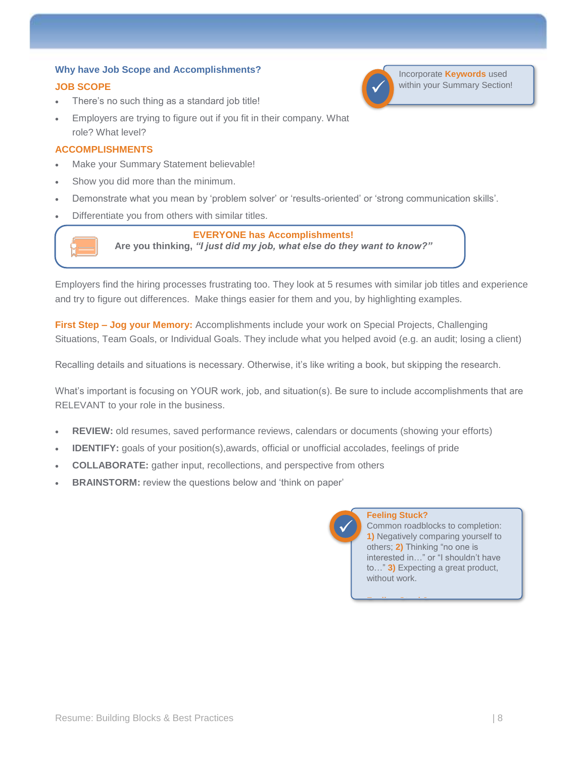### <span id="page-7-0"></span>**Why have Job Scope and Accomplishments?**

### **JOB SCOPE**

- There's no such thing as a standard job title!
- Employers are trying to figure out if you fit in their company. What role? What level?

### **ACCOMPLISHMENTS**

- Make your Summary Statement believable!
- Show you did more than the minimum.
- Demonstrate what you mean by 'problem solver' or 'results-oriented' or 'strong communication skills'.
- Differentiate you from others with similar titles.

### **EVERYONE has Accomplishments!**

**Are you thinking,** *"I just did my job, what else do they want to know?"*

**EVERYONE has Accomplishments!**

Employers find the hiring processes frustrating too. They look at 5 resumes with similar job titles and experience and try to figure out differences. Make things easier for them and you, by highlighting examples.

**First Step – Jog your Memory:** Accomplishments include your work on Special Projects, Challenging Situations, Team Goals, or Individual Goals. They include what you helped avoid (e.g. an audit; losing a client)

Recalling details and situations is necessary. Otherwise, it's like writing a book, but skipping the research.

What's important is focusing on YOUR work, job, and situation(s). Be sure to include accomplishments that are RELEVANT to your role in the business.

- **REVIEW:** old resumes, saved performance reviews, calendars or documents (showing your efforts)
- **IDENTIFY:** goals of your position(s),awards, official or unofficial accolades, feelings of pride
- **COLLABORATE:** gather input, recollections, and perspective from others
- **BRAINSTORM:** review the questions below and 'think on paper'

✓

### **Feeling Stuck?**

**Feeling Stuck?** 

Common roadblocks to completion: **1)** Negatively comparing yourself to others; **2)** Thinking "no one is interested in…" or "I shouldn't have to…" **3)** Expecting a great product, without work.



Incorporate **Keywords** used within your Summary Section!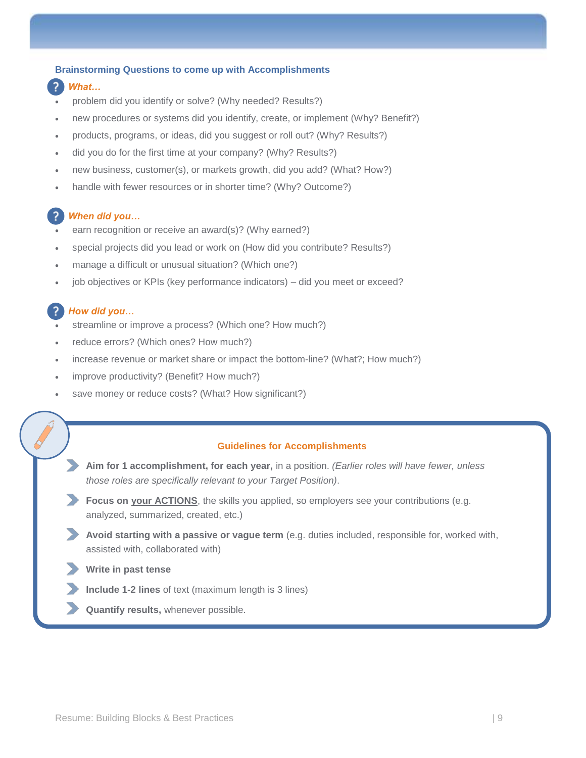#### **Brainstorming Questions to come up with Accomplishments**

- *What…*
- problem did you identify or solve? (Why needed? Results?)
- new procedures or systems did you identify, create, or implement (Why? Benefit?)
- products, programs, or ideas, did you suggest or roll out? (Why? Results?)
- did you do for the first time at your company? (Why? Results?)
- new business, customer(s), or markets growth, did you add? (What? How?)
- handle with fewer resources or in shorter time? (Why? Outcome?)

### *When did you…*

- earn recognition or receive an award(s)? (Why earned?)
- special projects did you lead or work on (How did you contribute? Results?)
- manage a difficult or unusual situation? (Which one?)
- job objectives or KPIs (key performance indicators) did you meet or exceed?

### *How did you…*

- streamline or improve a process? (Which one? How much?)
- reduce errors? (Which ones? How much?)
- increase revenue or market share or impact the bottom-line? (What?; How much?)
- improve productivity? (Benefit? How much?)
- save money or reduce costs? (What? How significant?)

### **Guidelines for Accomplishments**

- ✓ **Aim for 1 accomplishment, for each year,** in a position. *(Earlier roles will have fewer, unless those roles are specifically relevant to your Target Position)*.
- **Focus on your ACTIONS**, the skills you applied, so employers see your contributions (e.g. analyzed, summarized, created, etc.)
- **Avoid starting with a passive or vague term** (e.g. duties included, responsible for, worked with, assisted with, collaborated with)
- ✓ **Write in past tense**
- **Include 1-2 lines** of text (maximum length is 3 lines)
- **Quantify results, whenever possible.**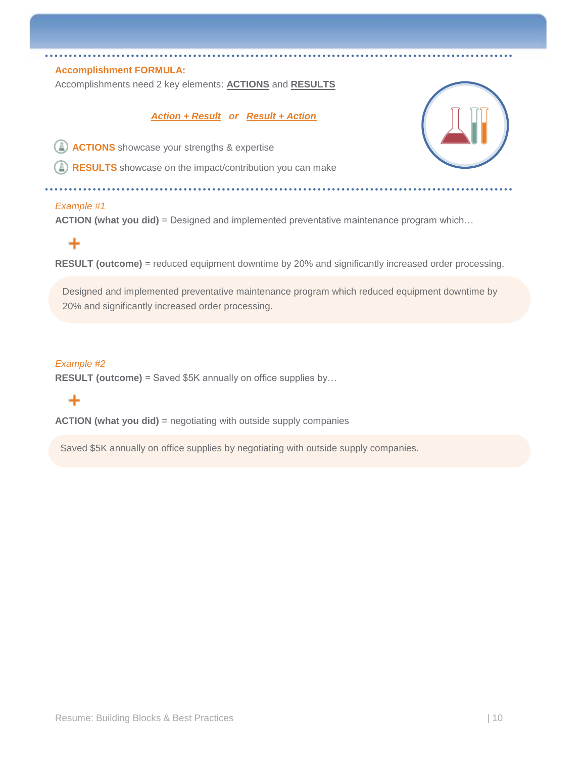### **Accomplishment FORMULA:**

Accomplishments need 2 key elements: **ACTIONS** and **RESULTS**

### *Action + Result or Result + Action*

**ACTIONS** showcase your strengths & expertise

**RESULTS** showcase on the impact/contribution you can make

#### *Example #1*

**ACTION (what you did)** = Designed and implemented preventative maintenance program which...

### ÷

**RESULT (outcome)** = reduced equipment downtime by 20% and significantly increased order processing.

Designed and implemented preventative maintenance program which reduced equipment downtime by 20% and significantly increased order processing.

### 20% and significantly increased order processing. *Example #2*

**RESULT (outcome)** = Saved \$5K annually on office supplies by...

### ╇

**ACTION (what you did)** = negotiating with outside supply companies

Saved \$5K annually on office supplies by negotiating with outside supply companies.

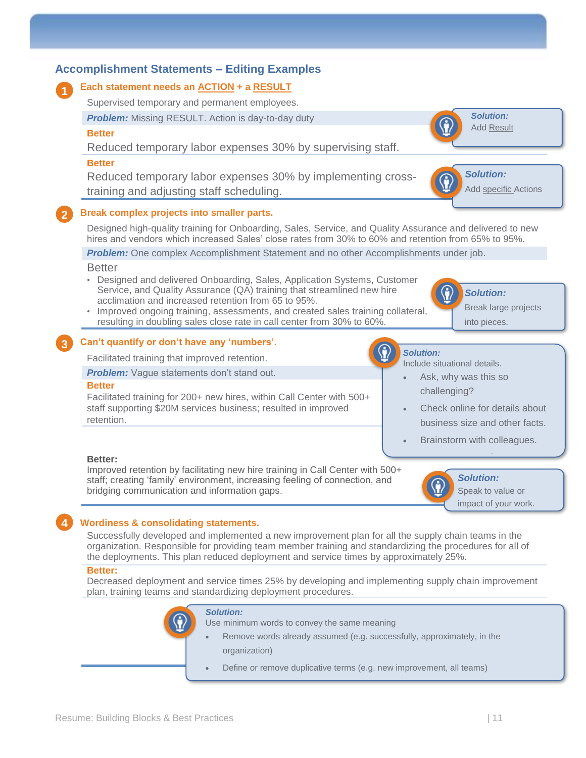

### **Wordiness & consolidating statements.**

Successfully developed and implemented a new improvement plan for all the supply chain teams in the organization. Responsible for providing team member training and standardizing the procedures for all of the deployments. This plan reduced deployment and service times by approximately 25%.

### **Better:**

**4**

Decreased deployment and service times 25% by developing and implementing supply chain improvement plan, training teams and standardizing deployment procedures.

|  |           | Solution:<br>Use minimum words to convey the same meaning                               |
|--|-----------|-----------------------------------------------------------------------------------------|
|  | $\bullet$ | Remove words already assumed (e.g. successfully, approximately, in the<br>organization) |
|  |           | Define or remove duplicative terms (e.g. new improvement, all teams)                    |
|  |           |                                                                                         |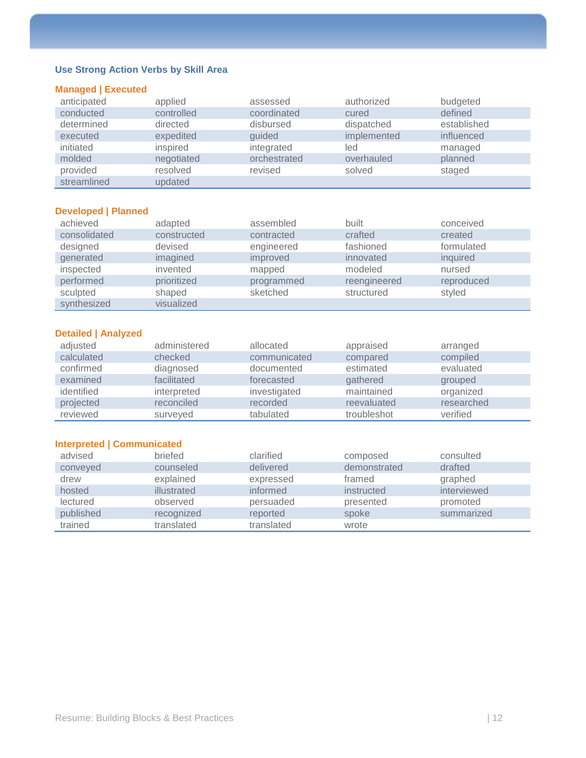### **Use Strong Action Verbs by Skill Area**

### **Managed | Executed**

| anticipated | applied    | assessed     | authorized  | budgeted    |
|-------------|------------|--------------|-------------|-------------|
| conducted   | controlled | coordinated  | cured       | defined     |
| determined  | directed   | disbursed    | dispatched  | established |
| executed    | expedited  | guided       | implemented | influenced  |
| initiated   | inspired   | integrated   | led         | managed     |
| molded      | negotiated | orchestrated | overhauled  | planned     |
| provided    | resolved   | revised      | solved      | staged      |
| streamlined | updated    |              |             |             |

### **Developed | Planned**

| achieved     | adapted     | assembled  | built        | conceived  |
|--------------|-------------|------------|--------------|------------|
| consolidated | constructed | contracted | crafted      | created    |
| designed     | devised     | engineered | fashioned    | formulated |
| generated    | imagined    | improved   | innovated    | inquired   |
| inspected    | invented    | mapped     | modeled      | nursed     |
| performed    | prioritized | programmed | reengineered | reproduced |
| sculpted     | shaped      | sketched   | structured   | styled     |
| synthesized  | visualized  |            |              |            |

### **Detailed | Analyzed**

| adjusted   | administered | allocated    | appraised   | arranged   |
|------------|--------------|--------------|-------------|------------|
| calculated | checked      | communicated | compared    | compiled   |
| confirmed  | diagnosed    | documented   | estimated   | evaluated  |
| examined   | facilitated  | forecasted   | gathered    | grouped    |
| identified | interpreted  | investigated | maintained  | organized  |
| projected  | reconciled   | recorded     | reevaluated | researched |
| reviewed   | surveyed     | tabulated    | troubleshot | verified   |

### **Interpreted | Communicated**

| advised   | briefed     | clarified  | composed     | consulted   |
|-----------|-------------|------------|--------------|-------------|
| conveyed  | counseled   | delivered  | demonstrated | drafted     |
| drew      | explained   | expressed  | framed       | graphed     |
| hosted    | illustrated | informed   | instructed   | interviewed |
| lectured  | observed    | persuaded  | presented    | promoted    |
| published | recognized  | reported   | spoke        | summarized  |
| trained   | translated  | translated | wrote        |             |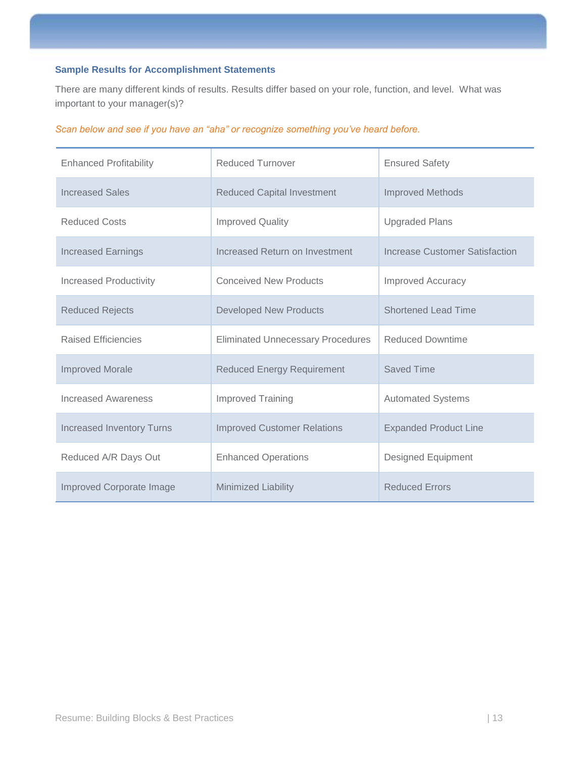### **Sample Results for Accomplishment Statements**

There are many different kinds of results. Results differ based on your role, function, and level. What was important to your manager(s)?

|  |  |  |  | Scan below and see if you have an "aha" or recognize something you've heard before. |
|--|--|--|--|-------------------------------------------------------------------------------------|
|  |  |  |  |                                                                                     |

| <b>Enhanced Profitability</b>    | <b>Reduced Turnover</b>                                      | <b>Ensured Safety</b>          |  |
|----------------------------------|--------------------------------------------------------------|--------------------------------|--|
| <b>Increased Sales</b>           | <b>Reduced Capital Investment</b><br><b>Improved Methods</b> |                                |  |
| <b>Reduced Costs</b>             | <b>Improved Quality</b><br><b>Upgraded Plans</b>             |                                |  |
| <b>Increased Earnings</b>        | Increased Return on Investment                               | Increase Customer Satisfaction |  |
| <b>Increased Productivity</b>    | <b>Conceived New Products</b>                                | <b>Improved Accuracy</b>       |  |
| <b>Reduced Rejects</b>           | <b>Developed New Products</b>                                | <b>Shortened Lead Time</b>     |  |
| <b>Raised Efficiencies</b>       | <b>Eliminated Unnecessary Procedures</b>                     | <b>Reduced Downtime</b>        |  |
| <b>Improved Morale</b>           | <b>Reduced Energy Requirement</b>                            | Saved Time                     |  |
| Increased Awareness              | <b>Improved Training</b>                                     | <b>Automated Systems</b>       |  |
| <b>Increased Inventory Turns</b> | <b>Improved Customer Relations</b>                           | <b>Expanded Product Line</b>   |  |
| Reduced A/R Days Out             | <b>Enhanced Operations</b>                                   | <b>Designed Equipment</b>      |  |
| Improved Corporate Image         | <b>Minimized Liability</b>                                   | <b>Reduced Errors</b>          |  |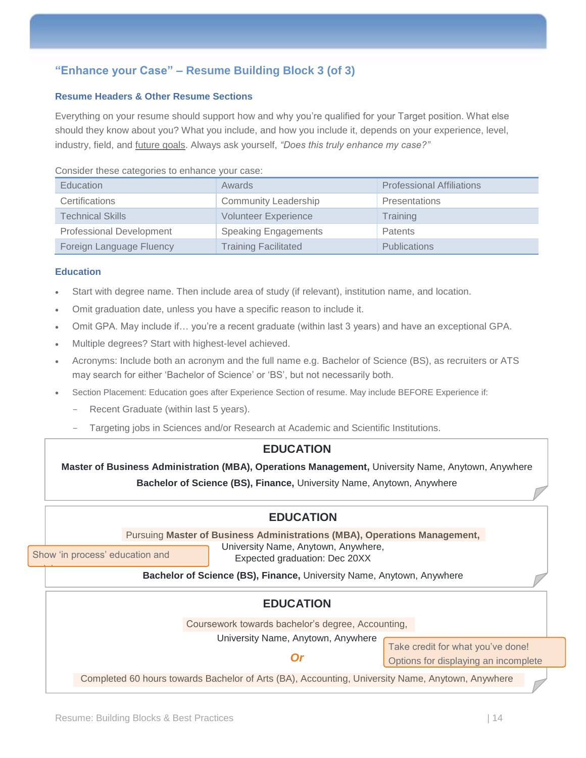### <span id="page-13-0"></span>**"Enhance your Case" – Resume Building Block 3 (of 3)**

### **Resume Headers & Other Resume Sections**

Everything on your resume should support how and why you're qualified for your Target position. What else should they know about you? What you include, and how you include it, depends on your experience, level, industry, field, and future goals. Always ask yourself, *"Does this truly enhance my case?"*

#### Consider these categories to enhance your case:

| Education                       | Awards                      | <b>Professional Affiliations</b> |
|---------------------------------|-----------------------------|----------------------------------|
| Certifications                  | <b>Community Leadership</b> | <b>Presentations</b>             |
| <b>Technical Skills</b>         | <b>Volunteer Experience</b> | Training                         |
| <b>Professional Development</b> | <b>Speaking Engagements</b> | Patents                          |
| Foreign Language Fluency        | <b>Training Facilitated</b> | <b>Publications</b>              |

### **Education**

- Start with degree name. Then include area of study (if relevant), institution name, and location.
- Omit graduation date, unless you have a specific reason to include it.
- Omit GPA. May include if… you're a recent graduate (within last 3 years) and have an exceptional GPA.
- Multiple degrees? Start with highest-level achieved.
- Acronyms: Include both an acronym and the full name e.g. Bachelor of Science (BS), as recruiters or ATS may search for either 'Bachelor of Science' or 'BS', but not necessarily both.
- Section Placement: Education goes after Experience Section of resume. May include BEFORE Experience if:
	- Recent Graduate (within last 5 years).
	- Targeting jobs in Sciences and/or Research at Academic and Scientific Institutions.

### **EDUCATION**

**Master of Business Administration (MBA), Operations Management,** University Name, Anytown, Anywhere **Bachelor of Science (BS), Finance,** University Name, Anytown, Anywhere

### **EDUCATION**

Pursuing **Master of Business Administrations (MBA), Operations Management,** 

Show 'in process' education and

Show 'in process' education and

training.

training.

University Name, Anytown, Anywhere, Expected graduation: Dec 20XX

**Bachelor of Science (BS), Finance,** University Name, Anytown, Anywhere

### **EDUCATION**

Coursework towards bachelor's degree, Accounting,

University Name, Anytown, Anywhere

*Or*

Take credit for what you've done! Options for displaying an incomplete

Completed 60 hours towards Bachelor of Arts (BA), Accounting, University Name, Anytown, Anywhere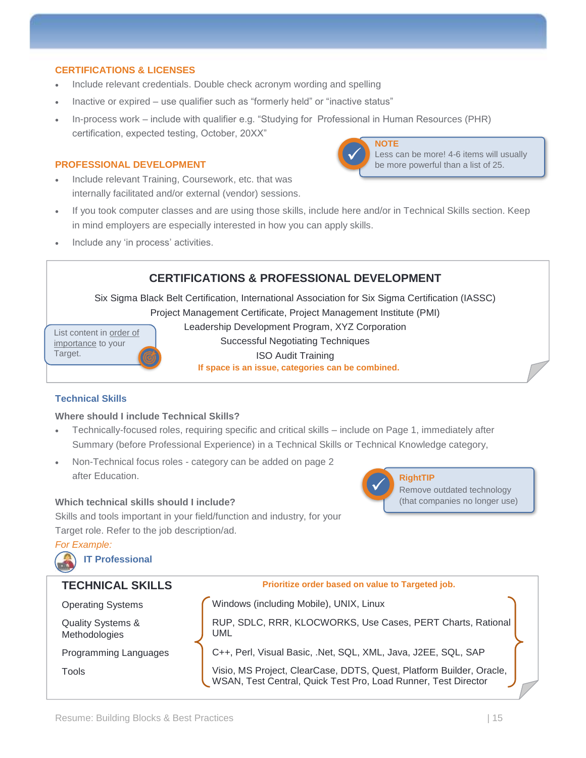### **CERTIFICATIONS & LICENSES**

- Include relevant credentials. Double check acronym wording and spelling
- Inactive or expired use qualifier such as "formerly held" or "inactive status"
- In-process work include with qualifier e.g. "Studying for Professional in Human Resources (PHR) certification, expected testing, October, 20XX"

### **PROFESSIONAL DEVELOPMENT**

• Include relevant Training, Coursework, etc. that was internally facilitated and/or external (vendor) sessions.



Less can be more! 4-6 items will usually be more powerful than a list of 25.

- If you took computer classes and are using those skills, include here and/or in Technical Skills section. Keep in mind employers are especially interested in how you can apply skills.
- Include any 'in process' activities.

### **CERTIFICATIONS & PROFESSIONAL DEVELOPMENT**

Six Sigma Black Belt Certification, International Association for Six Sigma Certification (IASSC) Project Management Certificate, Project Management Institute (PMI)

List content in order of importance to your Target.

Leadership Development Program, XYZ Corporation Successful Negotiating Techniques ISO Audit Training **If space is an issue, categories can be combined.**

### **Technical Skills**

### **Where should I include Technical Skills?**

- Technically-focused roles, requiring specific and critical skills include on Page 1, immediately after Summary (before Professional Experience) in a Technical Skills or Technical Knowledge category,
- Non-Technical focus roles category can be added on page 2 after Education.

### **Which technical skills should I include?**

Skills and tools important in your field/function and industry, for your Target role. Refer to the job description/ad.

*For Example:*





**Prioritize order based on value to Targeted job.**

Quality Systems & Methodologies

**TECHNICAL SKILLS**

Operating Systems **Computer on Vindows** (including Mobile), UNIX, Linux

RUP, SDLC, RRR, KLOCWORKS, Use Cases, PERT Charts, Rational UML

**RightTIP**

✓

Remove outdated technology (that companies no longer use)

Programming Languages **C++**, Perl, Visual Basic, .Net, SQL, XML, Java, J2EE, SQL, SAP

Tools Visio, MS Project, ClearCase, DDTS, Quest, Platform Builder, Oracle, WSAN, Test Central, Quick Test Pro, Load Runner, Test Director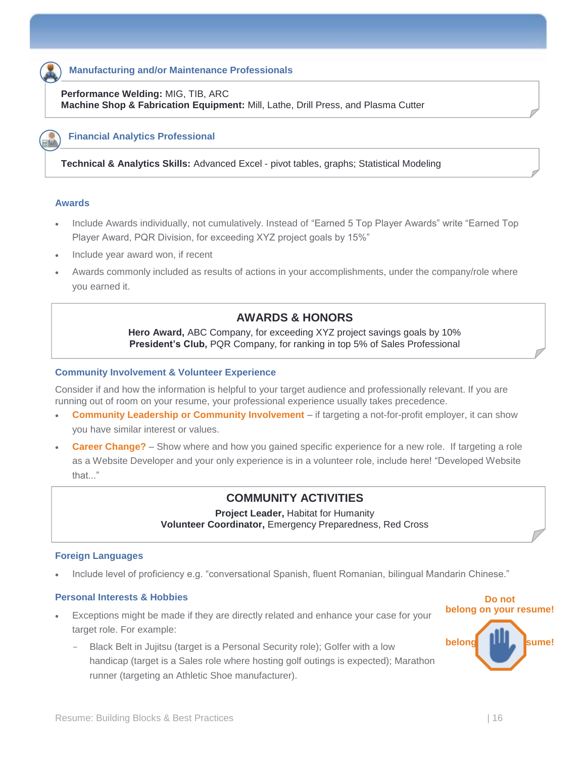### **Manufacturing and/or Maintenance Professionals**

**Performance Welding:** MIG, TIB, ARC **Machine Shop & Fabrication Equipment:** Mill, Lathe, Drill Press, and Plasma Cutter

#### **Financial Analytics Professional**

**Technical & Analytics Skills:** Advanced Excel - pivot tables, graphs; Statistical Modeling

### **Awards**

- Include Awards individually, not cumulatively. Instead of "Earned 5 Top Player Awards" write "Earned Top Player Award, PQR Division, for exceeding XYZ project goals by 15%"
- Include year award won, if recent
- Awards commonly included as results of actions in your accomplishments, under the company/role where you earned it.

### **AWARDS & HONORS**

**Hero Award,** ABC Company, for exceeding XYZ project savings goals by 10% **President's Club,** PQR Company, for ranking in top 5% of Sales Professional

#### **Community Involvement & Volunteer Experience**

Consider if and how the information is helpful to your target audience and professionally relevant. If you are running out of room on your resume, your professional experience usually takes precedence.

- **Community Leadership or Community Involvement** if targeting a not-for-profit employer, it can show you have similar interest or values.
- **Career Change?** Show where and how you gained specific experience for a new role. If targeting a role as a Website Developer and your only experience is in a volunteer role, include here! "Developed Website that..."

### **COMMUNITY ACTIVITIES**

**Project Leader,** Habitat for Humanity **Volunteer Coordinator,** Emergency Preparedness, Red Cross

#### **Foreign Languages**

• Include level of proficiency e.g. "conversational Spanish, fluent Romanian, bilingual Mandarin Chinese."

### **Personal Interests & Hobbies**

- Exceptions might be made if they are directly related and enhance your case for your target role. For example:
	- Black Belt in Jujitsu (target is a Personal Security role); Golfer with a low handicap (target is a Sales role where hosting golf outings is expected); Marathon runner (targeting an Athletic Shoe manufacturer).

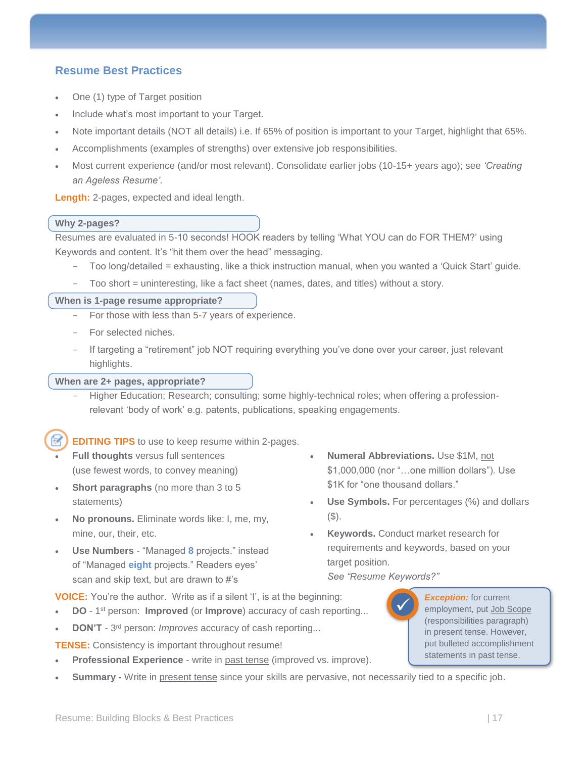### <span id="page-16-0"></span>**Resume Best Practices**

- One (1) type of Target position
- Include what's most important to your Target.
- Note important details (NOT all details) i.e. If 65% of position is important to your Target, highlight that 65%.
- Accomplishments (examples of strengths) over extensive job responsibilities.
- Most current experience (and/or most relevant). Consolidate earlier jobs (10-15+ years ago); see *'Creating an Ageless Resume'*.

**Length:** 2-pages, expected and ideal length.

### **Why 2-pages?**

Resumes are evaluated in 5-10 seconds! HOOK readers by telling 'What YOU can do FOR THEM?' using Keywords and content. It's "hit them over the head" messaging.

- Too long/detailed = exhausting, like a thick instruction manual, when you wanted a 'Quick Start' guide.
- Too short = uninteresting, like a fact sheet (names, dates, and titles) without a story.

### **When is 1-page resume appropriate?**

- For those with less than 5-7 years of experience.
- For selected niches.
- If targeting a "retirement" job NOT requiring everything you've done over your career, just relevant highlights.

### **When are 2+ pages, appropriate?**

Higher Education; Research; consulting; some highly-technical roles; when offering a professionrelevant 'body of work' e.g. patents, publications, speaking engagements.

**EDITING TIPS** to use to keep resume within 2-pages.

- **Full thoughts** versus full sentences (use fewest words, to convey meaning)
- **Short paragraphs** (no more than 3 to 5) statements)
- **No pronouns.** Eliminate words like: I, me, my, mine, our, their, etc.
- **Use Numbers** "Managed **8** projects." instead of "Managed **eight** projects." Readers eyes' scan and skip text, but are drawn to #'s
- **Numeral Abbreviations.** Use \$1M, not \$1,000,000 (nor "…one million dollars"). Use \$1K for "one thousand dollars."
- **Use Symbols.** For percentages (%) and dollars  $($ \$ $).$
- **Keywords.** Conduct market research for requirements and keywords, based on your target position.

*See "Resume Keywords?"*

**VOICE:** You're the author. Write as if a silent 'I', is at the beginning:

- **DO** 1 st person: **Improved** (or **Improve**) accuracy of cash reporting...
- **DON'T** 3<sup>rd</sup> person: *Improves* accuracy of cash reporting...

**TENSE:** Consistency is important throughout resume!

- **Professional Experience** write in past tense (improved vs. improve).
- **Summary** Write in present tense since your skills are pervasive, not necessarily tied to a specific job.